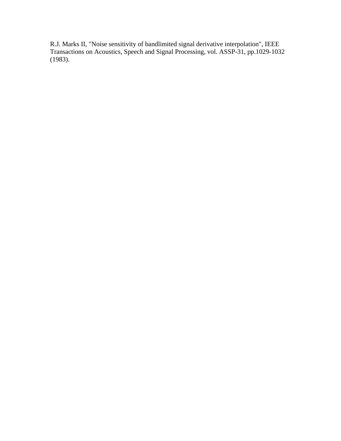R.J. Marks II, "Noise sensitivity of bandlimited signal derivative interpolation", IEEE Transactions on Acoustics, Speech and Signal Processing, vol. ASSP-31, pp.1029-1032 (1983).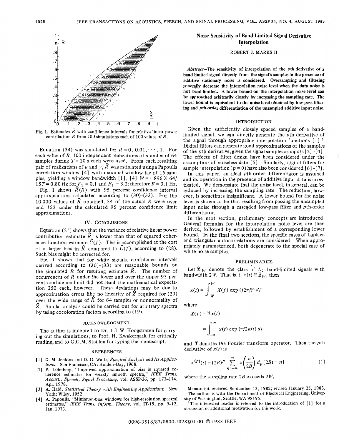

Fig. 1. Estimates  $\hat{R}$  with confidence intervals for relative linear power contribution *R* from 100 simulations each of 100 values of *R.* 

Equation (34) was simulated for  $R = 0, 0.01, \dots, 1$ . For each value of  $R$ , 100 independent realizations of  $u$  and  $w$  of 64 samples during  $T = 10$  s each were used. From each resulting pair of realizations of *u* and *y*,  $\hat{R}$  was estimated using a Papoulis sample interpolation ( $p = 0$ ) have also been considered [6]-[7]. correlation window [4] with maximal window lag-of 15 samples, yielding a window bandwidth [1], [4]  $W = 1.896 \times 64/$  $15T = 0.80$  Hz for  $F_1 = 0.1$  and  $F_2 = 3.2$ ; therefore  $F = 3.1$  Hz.

Fig. 1 shows  $\hat{R}(R)$  with 95 percent confidence interval approximations caiculated according to (30)-(33). For the 10 *000* values of *R* obtained, 34 of the actual *R* were over and 152 under the calculated 95 percent confidence limit approximations.

### **IV. CONCLUSIONS**

Equation (21) shows that the variance of relative linear power contribution estimate  $\hat{R}$  is lower than that of squared coherence function estimate  $\hat{C}(f)$ . This is accomplished at the cost of a larger bias in  $\hat{R}$  compared to  $\hat{C}(f)$ , according to (28). Such bias might be corrected for.

Fig. 1 shows that for white signals, confidence intervals derived according to  $(30)-(33)$  are reasonable bounds on the simulated R for resulting estimate  $\hat{R}$ . The number of occurrences of *R* under the lower and over the upper 95 percent confidence limit did not reach the mathematical expectation 250 each, however. These deviations may be due to approximation errors like no linearity of  $\widehat{Z}$  required for (29)  $\alpha$  pver the wide range of  $\ddot{R}$  for 64 samples or nonnormality of *2.* Similar analysis could be carried out for arbitrary spectra by using cocoloration factors according to (19).

## **ACKNOWLEDGMENT**

The author is indebted to Dr. L.L.W. Hoogstraten for carrying out the simulations, to Prof. H. Kwakernaak for critically reading, and to G.G.M. Steijlen for typing the manuscript.

### **REFERENCES**

- [ 11 G. **M.** Jenkins and **D.** G. Watts, *Spectral Analysis and its Applications.* San Francisco, CA: Holden-Day, 1968.
- [2] P. Lohnberg, "Improved approximation of bias in squared coherence estimates for weakly smooth spectra," *IEEE Trans. Acoust., Speech, Signal Processing,* vol. ASSP-26, pp. 172-174, Apr. 1978.
- \_\_ 131 A. Hald, *Statistical Theory with Engineering Applications.* New York: Wiley, 1952.
- [4] **A.** Papoulis, "Minimum-bias windows for high-resolution spectral estimates," *IEEE Trans. Inform. Theory*, vol. IT-19, pp. 9-12, Jan. 1973.

# Noise Sensitivity **of** Band-Limited Signal Derivative Interpolation

### ROBERT **J. MARKS I1**

Abstract-The sensitivity of interpolation of the pth derivative of a band-limited signal directly from the **signal's** samples in the presence of additive stationary noise is considered. Oversampling and filtering generally decrease the interpolation noise level when the data noise is not band-limited. **A** lower bound **on** the interpolation noise level can be approached arbitrarily closely by increasing the sampling rate. The lower bound is equivalent to the noise level obtained by low-pass filtering and pth-order differentiation of the unsampled additive input noise.

#### **INTRODUCTION**

Given the sufficiently closely spaced samples of a bandlimited signal, we can directly generate the pth derivative of the signal through appropriate interpolation functions  $[1].<sup>1</sup>$ Digital filters can generate good approximations of the samples of the pth derivative, given the signal samples **as** inputs [ 21 441. The effects of filter design have been considered under the assumption *of* noiseless data [SI. Similarly, digital filters for

In this paper, an ideal  $p$ th-order differentiator is assumed and its operation in the presence of additive input data is investigated. We demonstate that the noise level, in general, can be reduced by increasing the sampling rate. The reduction, however, is sometimes insignificant. **A** lower bound for the noise level is shown to be that resulting from passing the unsampled input noise through a cascaded low-pass filter and pth-order differentiator.

**In** the next section, preliminary concepts are introduced. General formulas for the interpolation noise level are then derived, followed by establishment of **a** corresponding lower bound. In the final two sections, the specific cases of Laplace and triangular autocorrelations are considered, When appropriately parameterized, both degenerate to the special case of white noise samples.

## **PRELIMINARIES**

Let  $\mathcal{B}_{W}$  denote the class of  $L_2$  band-limited signals with bandwidth 2W. That is, if  $x(t) \in \mathcal{B}_W$ , then

$$
x(t) = \int_{-W}^{W} X(f) \exp(i2\pi ft) \, df
$$

where

 $X(f) = \mathcal{F}_X(f)$ 

$$
= \int_{-\infty}^{\infty} x(t) \exp(-j2\pi ft) dt
$$

and **3** denotes the Fourier transform operator. Then the pth derivative of  $x(t)$  is

$$
x^{(p)}(t) = (2B)^p \sum_{n=-\infty}^{\infty} x \left(\frac{n}{2B}\right) d_p [2Bt - n] \tag{1}
$$

where the sampling rate  $2B$  exceeds  $2W$ ,

Manuscript received September 13, 1982; revised January 25, 1983. The author **is** with the Department of Electrical Engineering, Univer sity of Washington, Seattle, WA 98195.

<sup>1</sup>The interested reader is referred to the introduction of  $[1]$  for a discussion of additional motivation for this work.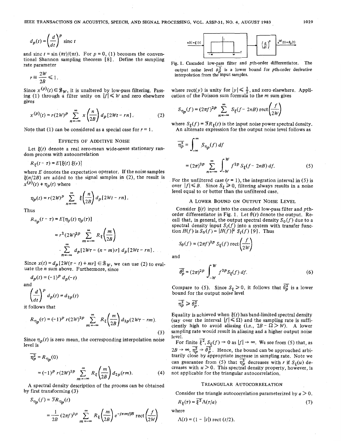$$
d_p(t) = \left(\frac{d}{dt}\right)^p \text{ sinc } t
$$

and sinc  $t = \sin(\pi t)/(\pi t)$ . For  $p = 0$ , (1) becomes the conventional Shannon sampling theorem [8]. Define the sampling rate parameter

$$
r \equiv \frac{2W}{2B} \leq 1.
$$

Since  $x^{(p)}(t) \in \mathcal{B}_W$ , it is unaltered by low-pass filtering. Passing (1) through a filter unity on  $|f| \leq W$  and zero elsewhere gives

$$
x^{(p)}(t) = r(2W)^p \sum_{n = -\infty}^{\infty} x \left(\frac{n}{2B}\right) d_p [2Wt - rn].
$$
 (2)

Note that (1) can be considered as a special case for  $r = 1$ .

## **EFFECTS OF ADDITIVE NOISE**

Let  $\xi(t)$  denote a real zero-mean wide-sense stationary random process with autocorrelation

 $R_{\xi}(t - \tau) = E[\xi(t) \xi(\tau)]$ 

where *E* denotes the expectation operator. If the noise samples  $\xi(n/2B)$  are added to the signal samples in (2), the result is  $x^{(p)}(t) + \eta_p(t)$  where

$$
\eta_p(t) = r(2W)^p \sum_{n=-\infty}^{\infty} \xi\left(\frac{n}{2B}\right) d_p[2Wt - rn].
$$

Thus

$$
R_{\eta_p}(t-\tau) = E[\eta_p(t) \eta_p(\tau)]
$$
  
=  $r^2 (2W)^{2p} \sum_{m=-\infty}^{\infty} R_{\xi} \left( \frac{m}{2B} \right)$   

$$
\sum_{n=-\infty}^{\infty} d_p [2W\tau - (n-m)r] d_p [2Wt - rn].
$$

Since  $x(t) = d_p[2W(\tau - t) + mr] \in \mathcal{B}_W$ , we can use (2) to evaluate the *n* sum above. Furthermore, since

$$
d_p(t) = (-1)^p d_p(-t)
$$

and

$$
\left(\frac{d}{dt}\right)^p d_p(t) = d_{2p}(t)
$$

it follows that

$$
R_{\eta_p}(\tau) = (-1)^p r (2W)^{2p} \sum_{m = -\infty}^{\infty} R_{\xi} \left( \frac{m}{2B} \right) d_{2p} (2W\tau - rm). \tag{3}
$$

Since  $\eta_p(t)$  is zero mean, the corresponding interpolation noise level is

$$
\overline{\eta_p^2} = R_{\eta_p}(0)
$$
  
=  $(-1)^p r (2W)^{2p} \sum_{m=-\infty}^{\infty} R_{\xi} \left( \frac{m}{2B} \right) d_{2p}(rm).$  (4)

**A** spectral density description of the process can be obtained by first transforming (3)

$$
S_{\eta_p}(f) = \mathcal{F}R_{\eta_p}(t)
$$
  
=  $\frac{1}{2B} (2\pi f)^{2p} \sum_{m=-\infty}^{\infty} R_{\xi} \left( \frac{m}{2B} \right) e^{-j\pi m f/B} \text{ rect} \left( \frac{f}{2W} \right)$ 



Fig. 1. Cascaded low-pass filter and pth-order differentiator. output noise level  $\theta_p^2$  is a lower bound for pth-order derivative interpolation from the input samples.

where rect(y) is unity for  $|y| \leq \frac{1}{2}$ , and zero elsewhere. Application of the Poisson sum formula to the *m* sum gives

$$
S_{\eta_p}(f) = (2\pi f)^{2p} \sum_{n=-\infty}^{\infty} S_{\xi}(f - 2nB) \operatorname{rect}\left(\frac{f}{2W}\right)
$$

where  $S_{\xi}(f) = \mathcal{F}R_{\xi}(t)$  is the input noise power spectral density. An alternate expression for the output noise level follows as

$$
\overline{n_p^2} = \int_{-\infty}^{\infty} S_{\eta_p}(f) \, df
$$

$$
= (2\pi)^{2p} \sum_{n=-\infty}^{\infty} \int_{-W}^{W} f^{2p} S_{\xi}(f - 2nB) \, df. \tag{5}
$$

For the unfiltered case  $(r = 1)$ , the integration interval in (5) is over  $|f| \le B$ . Since  $S_{\xi} \ge 0$ , filtering always results in a noise level equal to or better than the unfiltered case.

# **A LOWER BOUND ON OUTPUT NOISE LEVEL**

Consider  $\xi(t)$  input into the cascaded low-pass filter and pthorder differentiator in Fig. 1. Let  $\theta(t)$  denote the output. Recall that, in general, the output spectral density  $S_0(f)$  due to a spectral density input  $S_i(f)$  into a system with transfer fun tion  $H(f)$  is  $S_0(f) = |H(f)|^2 S_i(f)$  [9]. Thus

$$
S_{\theta}(f) = (2\pi f)^{2p} S_{\xi}(f) \operatorname{rect}\left(\frac{f}{2W}\right)
$$

and

$$
\overline{\theta_p^2} = (2\pi)^{2p} \int_{-W}^W f^{2p} S_{\xi}(f) df.
$$
 (6)

Compare to (5). Since  $S_{\xi} \ge 0$ , it follows that  $\theta_n^2$  is a lower bound for the output noise level

$$
\eta_p^2 \geqslant \overline{\theta_p^2}.
$$

Equality is achieved when  $\xi(t)$  has band-limited spectral density (say over the interval  $|f| \leq \Omega$ ) and the sampling rate is sufficiently high to avoid aliasing (i.e.,  $2B - \Omega > W$ ). A lower sampling rate would result in aliasing and a higher output noise level.

For finite  $\overline{\xi^2}$ ,  $S_{\xi}(f) \rightarrow 0$  as  $|f| \rightarrow \infty$ . We see from (5) that, as<br>  $\overline{\xi^2}$ ,  $S_{\xi}(f) \rightarrow 0$  as  $|f| \rightarrow \infty$ . We see from (5) that, as<br>  $\overline{\xi^2} \rightarrow \overline{\theta^2}$ . Hence, the bound can be approached athi- $2B \rightarrow \infty$ ,  $\overline{\eta}_p^2 \rightarrow \overline{\theta}_p^2$ . Hence, the bound can be approached arbitrarily close by appropriate increase in sampling rate, Note we can guarantee from (5) that  $\overline{\eta_p^2}$  decreases with *r* if  $S_g(u)$  decreases with  $u > 0$ . This spectral density property, however, is not applicable for the triangular autocorrelation.

#### **TRIANGULAR AUTOCORRELATION**

Consider the triangle autocorrelation parameterized by  $a > 0$ .

$$
R_{\xi}(\tau) = \xi^2 \Lambda(\tau/a) \tag{7}
$$

where

$$
\Lambda(t) = (1 - |t|) \operatorname{rect} (t/2).
$$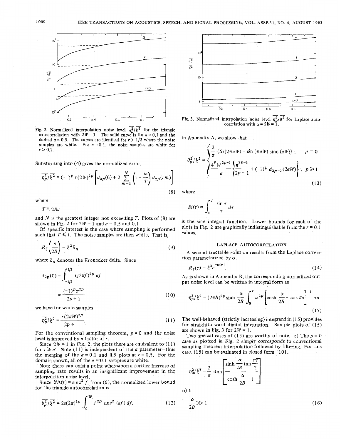

Fig. 2. Normalized interpolation noise level  $\frac{2}{n_p^2} \left(\frac{2}{5}\right)^2$  for the triangle autocorrelation with  $2W = 1$ . The solid curve is for  $a = 0.1$  and the dashed  $a = 0.5$ . The curves are identical for  $r > 1/2$  where the noise samples are white. For  $a = 0.1$ , the noise samples are white for  $r \geqslant 0.1$ .

Substituting into *(4)* gives the normalized error.

$$
\overline{n_p^2/\xi^2} = (-1)^p r(2W)^{2p} \left[ d_{2p}(0) + 2 \sum_{m=1}^N \left( 1 - \frac{m}{T} \right) d_{2p}(rm) \right]
$$

where

 $T \equiv 2Ba$ 

and *N* is the greatest integer not exceeding *T.* Plots of (8) are shown in Fig. 2 for  $2W = 1$  and  $a = 0.5$  and 0.1.

Of specific interest is the case where sampling is performed such that  $T \leq 1$ . The noise samples are then white. That is,

$$
R_{\xi}\left(\frac{n}{2B}\right) = \overline{\xi^2}\delta_n\tag{9}
$$

where  $\delta_n$  denotes the Kronecker delta. Since

$$
d_{2p}(0) = \int_{-1/2}^{1/2} (j2\pi f)^{2p} df
$$

$$
= \frac{(-1)^p \pi^{2p}}{2p + 1}
$$
(10)

we have for white samples

$$
\overline{\eta_p^2}/\overline{\xi^2} = \frac{r(2\pi W)^{2p}}{2p+1}.
$$
 (11)

For the conventional sampling theorem,  $p = 0$  and the noise level is improved by a factor of *r.* 

Since  $2W = 1$  in Fig. 2, the plots there are equivalent to  $(11)$ for  $r \ge a'$ . Note (11) is independent of the *a* parameter-thus the merging of the  $a = 0.1$  and 0.5 plots at  $r = 0.5$ . For the domain shown, all of the  $a = 0.1$  samples are white.

sampling rate results in an insignificant improvement in the interpolation noise level. Note there can exist a point whereupon a further increase of

for the triangle'autocorrelation is Since  $\mathfrak{F}\Lambda(t) = \text{sinc}^2 f$ , from (6), the normalized lower bound

$$
\overline{\theta_p^2/\xi^2} = 2a(2\pi)^{2p} \int_0^W f^{2p} \operatorname{sinc}^2\left(af\right) df. \tag{12}
$$



correlation with  $\alpha = 2W = 1$ .

In Appendix **A,** we show that

$$
\overline{\theta_p^2/\xi^2} = \begin{cases}\n\frac{2}{\pi} \left\{ Si(2\pi aW) - \sin(\pi aW) \operatorname{sinc} (aW) \right\} ; & p = 0 \\
\frac{4^p W^{2p-1}}{a} \left\{ \frac{\pi^{2p-2}}{2p-1} + (-1)^p d_{2p-2} (2aW) \right\} ; & p \ge 1\n\end{cases}
$$
\n(13)

where

here  
\n
$$
Si(t) = \int_0^t \frac{\sin \tau}{\tau} d\tau
$$

is the sine integral function. Lower bounds for each of the plots in Fig. 2 are graphically indistinguishable from the  $r = 0.1$ values.

# LAPLACE AUTOCORRELATION

**A** second tractable solution results from the Laplace correla-A second tractable solution parameterized by  $\alpha$ .<br>  $R_{\xi}(\tau) = \overline{\xi^2}e^{-\alpha|\tau|}$ .

$$
R_{\xi}(\tau) = \overline{\xi^2} e^{-\alpha|\tau|}.\tag{14}
$$

As is shown in Appendix B, the corresponding normalized out-

but noise level can be written in integral form as  
\n
$$
\overline{\eta_P^2/\xi^2} = (2\pi B)^{2p} \sinh \frac{\alpha}{2B} \int_0^r u^{2p} \left[ \cosh \frac{\alpha}{2B} - \cos \pi u \right]^{-1} du.
$$
\n(15)

The well-behaved (strictly increasing) integrand in (1 *5)* provides for straightforward digital integration. Sample plots of (1 *5)*  are shown in Fig.  $3$  for  $2W = 1$ .

Two special cases of (15) are worthy of note. a) The  $p = 0$ case as plotted in Fig. 2 simply corresponds *to* conventional sampling theorem interpolation followed by filtering. For this case, (1 *5)* can be evaluated in closed form [ 101 .

$$
\overline{n_0^2/\xi^2} = \frac{2}{\pi} \operatorname{atan} \left[ \frac{\sinh \frac{\alpha}{2B} \tan \frac{\pi \tau}{2}}{\cosh \frac{\alpha}{2B} - 1} \right].
$$

b) If

$$
12) \qquad \frac{\alpha}{2B} \gg 1 \tag{16}
$$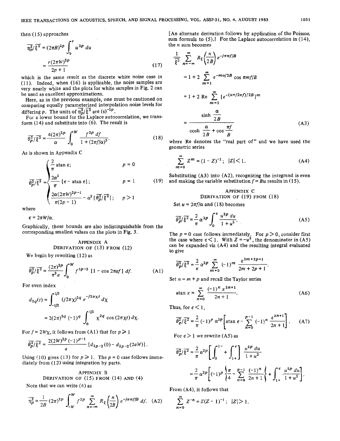then (15) approaches  
\n
$$
\overline{n_p^2}/\overline{\xi^2} = (2\pi B)^{2p} \int_0^r u^{2p} du
$$
\n
$$
= \frac{r(2\pi W)^{2p}}{2p+1}
$$
\n(17)

which is the same result as the discrete white noise case in  $(11)$ . Indeed, when  $(16)$  is applicable, the noise samples are very nearly white and the plots for white samples in Fig. 2 can be used as excellent approximations.

Here, as in the previous example, one must be cautioned on comparing equally parameterized interpolation noise levels for differing *p*. The units of  $\eta_p^2/\xi^2$  are (s)  $2^p$ .

For a lower bound for the Laplace autocorrelation, we transform (14) and substitute into (6). The result is

$$
\overline{\theta_p^2/\xi^2} = \frac{4(2\pi)^{2p}}{\alpha} \int_0^W \frac{f^{2p} df}{1 + (2\pi f/\alpha)^2}.
$$
 (18)

As is shown in Appendix C

$$
\overline{\theta_p^2/\xi^2} = \begin{cases}\n\frac{2}{\pi} \operatorname{atan} \epsilon; & p = 0 \\
\frac{2\alpha^2}{\pi} \left[ \epsilon - \operatorname{atan} \epsilon \right]; & p = 1 \\
\frac{2\alpha(2\pi W)^{2p-1}}{\pi(2p-1)} - \alpha^2 \left[ \overline{\theta_p^2} / \overline{\xi^2} \right]; & p > 1\n\end{cases} \tag{19}
$$

where

 $\epsilon = 2\pi W/\alpha$ .

Graphically, these bounds are also indistinguishable from the corresponding smallest values on the plots in Fig. **3.** 

# APPENDIX A DERIVATION OF (13) FROM (12)

We begin by rewriting  $(12)$  as

We begin by rewriting (12) as  
\n
$$
\overline{\theta_p^2/\xi^2} = \frac{(2\pi)^{2p}}{\pi^2 a} \int_0^W f^{2p-2} [1 - \cos 2\pi af] df.
$$
\n(A1)

For even index

$$
d_{2q}(t) = \int_{-1/2}^{1/2} (j2\pi \chi)^{2q} e^{-j2\pi \chi t} d\chi
$$
  
=  $2(2\pi)^{2q} (-1)^q \int_0^{1/2} \chi^{2q} \cos(2\pi \chi t) d\chi.$ 

For  $f = 2W\chi$ , it follows from (A1) that for  $p \ge 1$ 

$$
\overline{\theta_p^2/\xi^2} = \frac{2(2W)^{2p}(-1)^{p-1}}{a} \left[ d_{2p-2}(0) - d_{2p-2}(2aW) \right].
$$

Using (10) gives (13) for  $p \ge 1$ . The  $p = 0$  case follows immediately from (12) using integration by parts.

DERIVATION OF (15) FROM (14) AND (4) Note that we can write (4) as From (A4), it follows that

$$
\overline{n_p^2} = \frac{1}{2B} (2\pi)^{2p} \int_{-W}^{W} f^{2p} \sum_{n=-\infty}^{\infty} R_{\xi} \left( \frac{n}{2B} \right) e^{-j\pi n f/B} df. \quad (A2)
$$

[An alternate derivation follows by application of the Poisson sum formula to (5).] For the Laplace autocorrelation in (14), the  $n$  sum becomes

$$
\frac{1}{\xi^2} \sum_{n=-\infty}^{\infty} R_{\xi} \left( \frac{n}{2B} \right) e^{-j\pi n f/B}
$$
  

$$
= 1 + 2 \sum_{m=1}^{\infty} e^{-m\alpha/2B} \cos \pi m f/B
$$
  

$$
= 1 + 2 \text{ Re } \sum_{m=1}^{\infty} [e^{-(\alpha+j2\pi f)/2B}]^m
$$
  

$$
= \frac{\sinh \frac{\alpha}{2B}}{2B}
$$
 (A3)

where Re denotes the "real part of" and we have used the geometric series

$$
\sum_{m=0}^{\infty} Z^m = (1 - Z)^{-1}; \ |Z| < 1.
$$
 (A4)

Substituting (A3) into (A2), recognizing the integrand is even and making the variable substitution  $f = Bu$  results in (15).

# APPENDIX C DERIVATION OF (19) FROM (18)

Set  $u = 2\pi f/\alpha$  and (18) becomes

$$
\overline{\theta_p^2/\xi^2} = \frac{2}{\pi} \alpha^{2p} \int_0^e \frac{u^{2p} du}{1+u^2}.
$$
 (A5)

The  $p = 0$  case follows immediately. For  $p > 0$ , consider first the case where  $\epsilon < 1$ . With  $Z = -u^2$ , the denominator in (A5) can be expanded via (A4) and the resulting integral evaluated to give

$$
\overline{\theta_p^2}/\overline{\xi^2} = \frac{2}{\pi} \alpha^{2p} \sum_{m=0}^{\infty} (-1)^m \frac{\epsilon^{2m+2p+1}}{2m+2p+1}.
$$

Set  $n = m + p$  and recall the Taylor series

atan 
$$
x = \sum_{n=0}^{\infty} \frac{(-1)^n x^{2n+1}}{2n+1}
$$
. (A6)

Thus, for  $\epsilon < 1$ ,

$$
\overline{\theta_p^2}/\overline{\xi^2} = \frac{2}{\pi} (-1)^p \alpha^{2p} \left[ \text{atan } \epsilon - \sum_{n=0}^{p-1} (-1)^n \frac{\epsilon^{2n+1}}{2n+1} \right]. \tag{A7}
$$

For  $\epsilon > 1$  we rewrite (A5) as

$$
p \ge 1. \text{ The } p = 0 \text{ case follows } \text{imme}
$$
\n
$$
p \ge 1. \text{ The } p = 0 \text{ case follows } \text{imme}
$$
\n
$$
\overline{\theta_p^2/\xi^2} = \frac{2}{\pi} \alpha^{2p} \left[ \int_0^{1-} + \int_{1+}^{\epsilon} \right] \frac{u^{2p} du}{1+u^2}
$$
\n
$$
= \frac{2}{\pi} \alpha^{2p} \left[ (-1)^p \left\{ \frac{\pi}{4} - \sum_{n=0}^{p-1} \frac{(-1)^n}{2n+1} \right\} + \int_{1+}^{\epsilon} \frac{u^{2p} du}{1+u^2} \right]
$$

$$
\sum_{n=0}^{\infty} Z^{-n} = Z(Z-1)^{-1}; \quad |Z| > 1.
$$